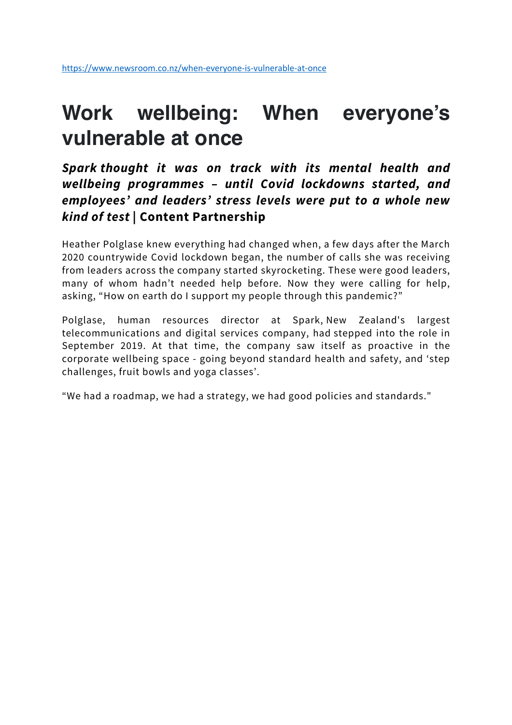### **Work wellbeing: When everyone's vulnerable at once**

*Spark thought it was on track with its mental health and wellbeing programmes – until Covid lockdowns started, and employees' and leaders' stress levels were put to a whole new kind of test* **| Content Partnership**

Heather Polglase knew everything had changed when, a few days after the March 2020 countrywide Covid lockdown began, the number of calls she was receiving from leaders across the company started skyrocketing. These were good leaders, many of whom hadn't needed help before. Now they were calling for help, asking, "How on earth do I support my people through this pandemic?"

Polglase, human resources director at Spark, New Zealand's largest telecommunications and digital services company, had stepped into the role in September 2019. At that time, the company saw itself as proactive in the corporate wellbeing space - going beyond standard health and safety, and 'step challenges, fruit bowls and yoga classes'.

"We had a roadmap, we had a strategy, we had good policies and standards."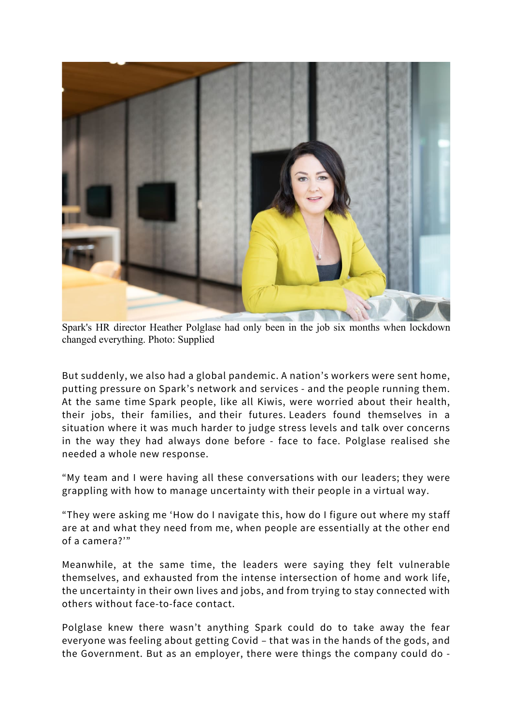

Spark's HR director Heather Polglase had only been in the job six months when lockdown changed everything. Photo: Supplied

But suddenly, we also had a global pandemic. A nation's workers were sent home, putting pressure on Spark's network and services - and the people running them. At the same time Spark people, like all Kiwis, were worried about their health, their jobs, their families, and their futures. Leaders found themselves in a situation where it was much harder to judge stress levels and talk over concerns in the way they had always done before - face to face. Polglase realised she needed a whole new response.

"My team and I were having all these conversations with our leaders; they were grappling with how to manage uncertainty with their people in a virtual way.

"They were asking me 'How do I navigate this, how do I figure out where my staff are at and what they need from me, when people are essentially at the other end of a camera?'"

Meanwhile, at the same time, the leaders were saying they felt vulnerable themselves, and exhausted from the intense intersection of home and work life, the uncertainty in their own lives and jobs, and from trying to stay connected with others without face-to-face contact.

Polglase knew there wasn't anything Spark could do to take away the fear everyone was feeling about getting Covid – that was in the hands of the gods, and the Government. But as an employer, there were things the company could do -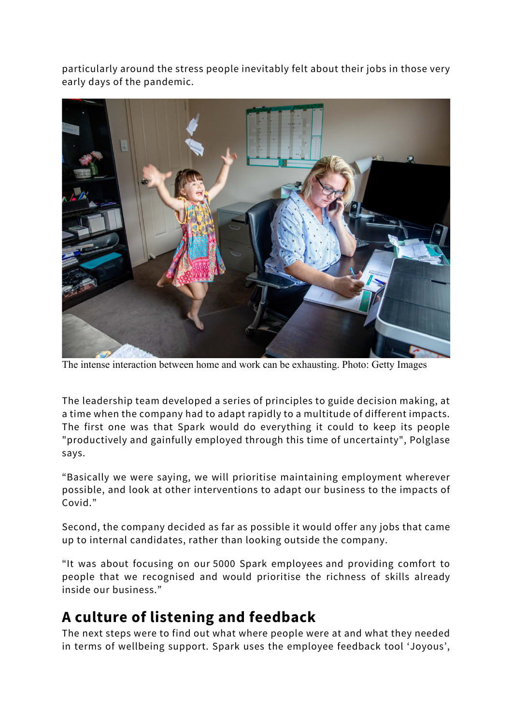particularly around the stress people inevitably felt about their jobs in those very early days of the pandemic.



The intense interaction between home and work can be exhausting. Photo: Getty Images

The leadership team developed a series of principles to guide decision making, at a time when the company had to adapt rapidly to a multitude of different impacts. The first one was that Spark would do everything it could to keep its people "productively and gainfully employed through this time of uncertainty", Polglase says.

"Basically we were saying, we will prioritise maintaining employment wherever possible, and look at other interventions to adapt our business to the impacts of Covid."

Second, the company decided as far as possible it would offer any jobs that came up to internal candidates, rather than looking outside the company.

"It was about focusing on our 5000 Spark employees and providing comfort to people that we recognised and would prioritise the richness of skills already inside our business."

#### **A culture of listening and feedback**

The next steps were to find out what where people were at and what they needed in terms of wellbeing support. Spark uses the employee feedback tool 'Joyous',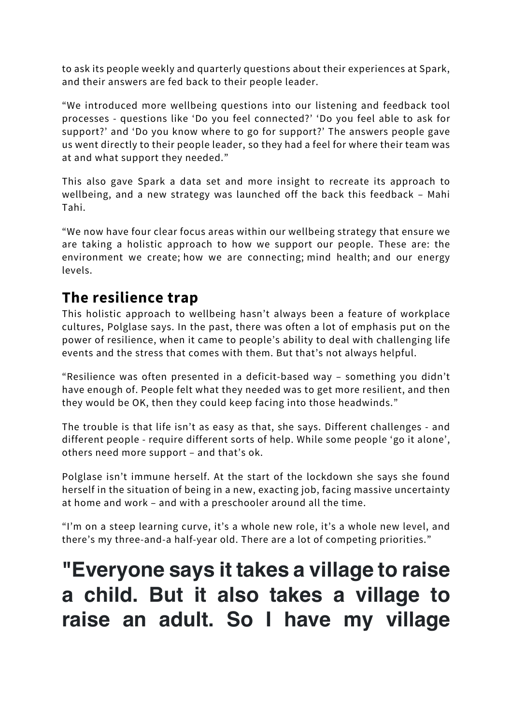to ask its people weekly and quarterly questions about their experiences at Spark, and their answers are fed back to their people leader.

"We introduced more wellbeing questions into our listening and feedback tool processes - questions like 'Do you feel connected?' 'Do you feel able to ask for support?' and 'Do you know where to go for support?' The answers people gave us went directly to their people leader, so they had a feel for where their team was at and what support they needed."

This also gave Spark a data set and more insight to recreate its approach to wellbeing, and a new strategy was launched off the back this feedback – Mahi Tahi.

"We now have four clear focus areas within our wellbeing strategy that ensure we are taking a holistic approach to how we support our people. These are: the environment we create; how we are connecting; mind health; and our energy levels.

#### **The resilience trap**

This holistic approach to wellbeing hasn't always been a feature of workplace cultures, Polglase says. In the past, there was often a lot of emphasis put on the power of resilience, when it came to people's ability to deal with challenging life events and the stress that comes with them. But that's not always helpful.

"Resilience was often presented in a deficit-based way – something you didn't have enough of. People felt what they needed was to get more resilient, and then they would be OK, then they could keep facing into those headwinds."

The trouble is that life isn't as easy as that, she says. Different challenges - and different people - require different sorts of help. While some people 'go it alone', others need more support – and that's ok.

Polglase isn't immune herself. At the start of the lockdown she says she found herself in the situation of being in a new, exacting job, facing massive uncertainty at home and work – and with a preschooler around all the time.

"I'm on a steep learning curve, it's a whole new role, it's a whole new level, and there's my three-and-a half-year old. There are a lot of competing priorities."

# **"Everyone says it takes a village to raise a child. But it also takes a village to raise an adult. So I have my village**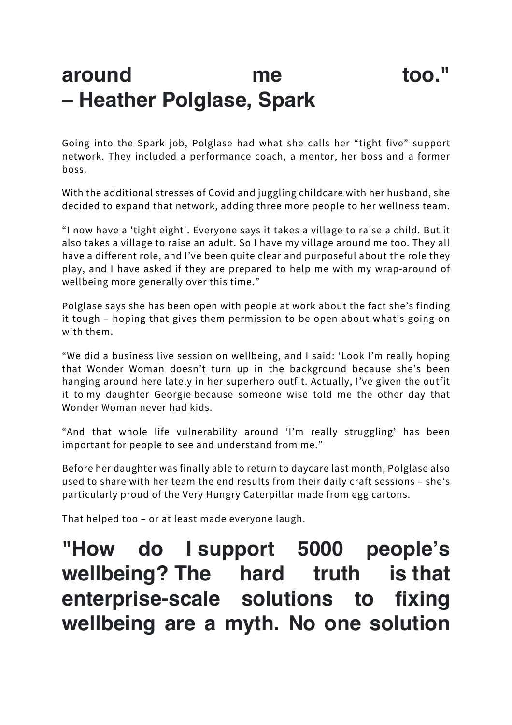## **around me too." – Heather Polglase, Spark**

Going into the Spark job, Polglase had what she calls her "tight five" support network. They included a performance coach, a mentor, her boss and a former boss.

With the additional stresses of Covid and juggling childcare with her husband, she decided to expand that network, adding three more people to her wellness team.

"I now have a 'tight eight'. Everyone says it takes a village to raise a child. But it also takes a village to raise an adult. So I have my village around me too. They all have a different role, and I've been quite clear and purposeful about the role they play, and I have asked if they are prepared to help me with my wrap-around of wellbeing more generally over this time."

Polglase says she has been open with people at work about the fact she's finding it tough – hoping that gives them permission to be open about what's going on with them.

"We did a business live session on wellbeing, and I said: 'Look I'm really hoping that Wonder Woman doesn't turn up in the background because she's been hanging around here lately in her superhero outfit. Actually, I've given the outfit it to my daughter Georgie because someone wise told me the other day that Wonder Woman never had kids.

"And that whole life vulnerability around 'I'm really struggling' has been important for people to see and understand from me."

Before her daughter was finally able to return to daycare last month, Polglase also used to share with her team the end results from their daily craft sessions – she's particularly proud of the Very Hungry Caterpillar made from egg cartons.

That helped too – or at least made everyone laugh.

# **"How do I support 5000 people's wellbeing? The hard truth is that enterprise-scale solutions to fixing wellbeing are a myth. No one solution**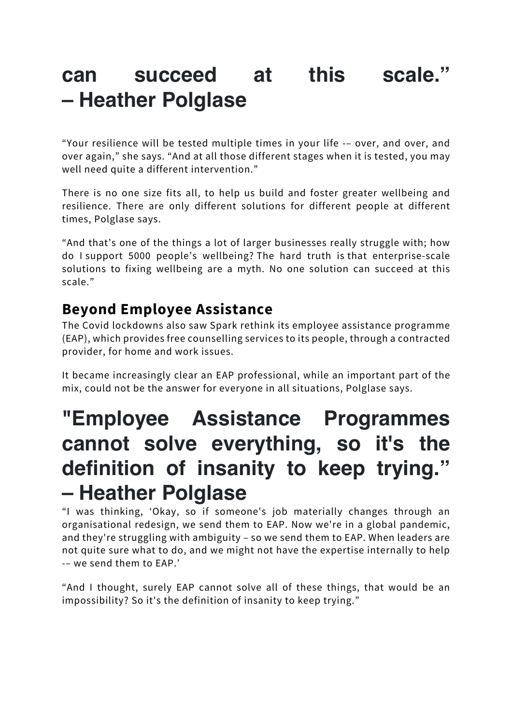## **can succeed at this scale." – Heather Polglase**

"Your resilience will be tested multiple times in your life -– over, and over, and over again," she says. "And at all those different stages when it is tested, you may well need quite a different intervention."

There is no one size fits all, to help us build and foster greater wellbeing and resilience. There are only different solutions for different people at different times, Polglase says.

"And that's one of the things a lot of larger businesses really struggle with; how do I support 5000 people's wellbeing? The hard truth is that enterprise-scale solutions to fixing wellbeing are a myth. No one solution can succeed at this scale."

#### **Beyond Employee Assistance**

The Covid lockdowns also saw Spark rethink its employee assistance programme (EAP), which provides free counselling services to its people, through a contracted provider, for home and work issues.

It became increasingly clear an EAP professional, while an important part of the mix, could not be the answer for everyone in all situations, Polglase says.

# **"Employee Assistance Programmes cannot solve everything, so it's the definition of insanity to keep trying." – Heather Polglase**

"I was thinking, 'Okay, so if someone's job materially changes through an organisational redesign, we send them to EAP. Now we're in a global pandemic, and they're struggling with ambiguity – so we send them to EAP. When leaders are not quite sure what to do, and we might not have the expertise internally to help -– we send them to EAP.'

"And I thought, surely EAP cannot solve all of these things, that would be an impossibility? So it's the definition of insanity to keep trying."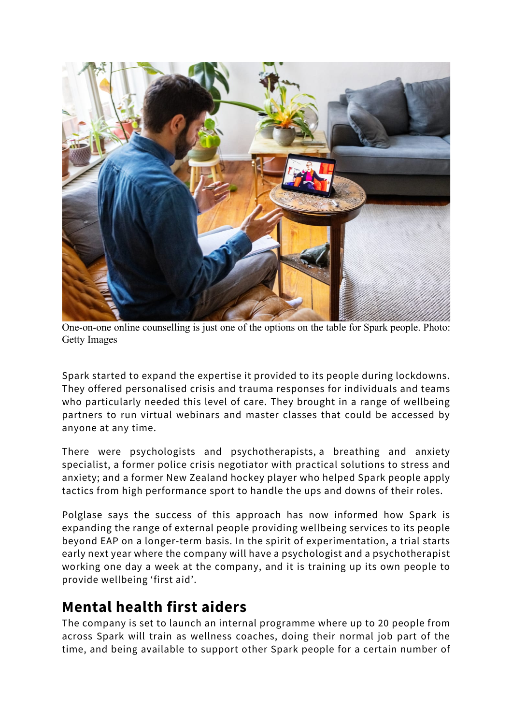

One-on-one online counselling is just one of the options on the table for Spark people. Photo: Getty Images

Spark started to expand the expertise it provided to its people during lockdowns. They offered personalised crisis and trauma responses for individuals and teams who particularly needed this level of care. They brought in a range of wellbeing partners to run virtual webinars and master classes that could be accessed by anyone at any time.

There were psychologists and psychotherapists, a breathing and anxiety specialist, a former police crisis negotiator with practical solutions to stress and anxiety; and a former New Zealand hockey player who helped Spark people apply tactics from high performance sport to handle the ups and downs of their roles.

Polglase says the success of this approach has now informed how Spark is expanding the range of external people providing wellbeing services to its people beyond EAP on a longer-term basis. In the spirit of experimentation, a trial starts early next year where the company will have a psychologist and a psychotherapist working one day a week at the company, and it is training up its own people to provide wellbeing 'first aid'.

#### **Mental health first aiders**

The company is set to launch an internal programme where up to 20 people from across Spark will train as wellness coaches, doing their normal job part of the time, and being available to support other Spark people for a certain number of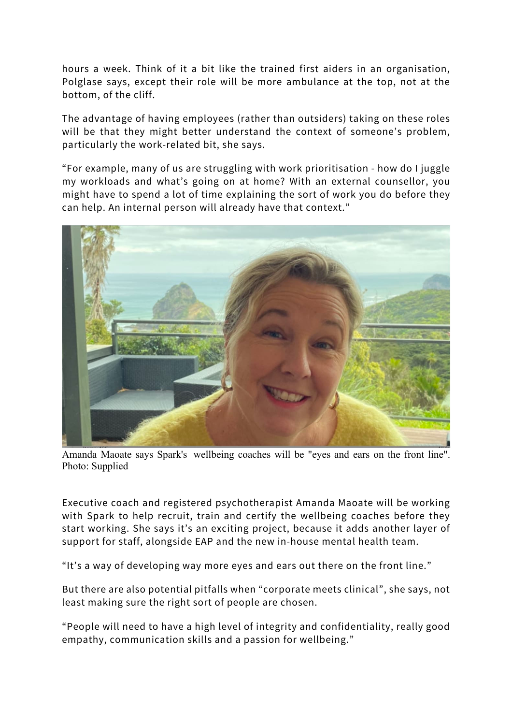hours a week. Think of it a bit like the trained first aiders in an organisation, Polglase says, except their role will be more ambulance at the top, not at the bottom, of the cliff.

The advantage of having employees (rather than outsiders) taking on these roles will be that they might better understand the context of someone's problem, particularly the work-related bit, she says.

"For example, many of us are struggling with work prioritisation - how do I juggle my workloads and what's going on at home? With an external counsellor, you might have to spend a lot of time explaining the sort of work you do before they can help. An internal person will already have that context."



Amanda Maoate says Spark's wellbeing coaches will be "eyes and ears on the front line". Photo: Supplied

Executive coach and registered psychotherapist Amanda Maoate will be working with Spark to help recruit, train and certify the wellbeing coaches before they start working. She says it's an exciting project, because it adds another layer of support for staff, alongside EAP and the new in-house mental health team.

"It's a way of developing way more eyes and ears out there on the front line."

But there are also potential pitfalls when "corporate meets clinical", she says, not least making sure the right sort of people are chosen.

"People will need to have a high level of integrity and confidentiality, really good empathy, communication skills and a passion for wellbeing."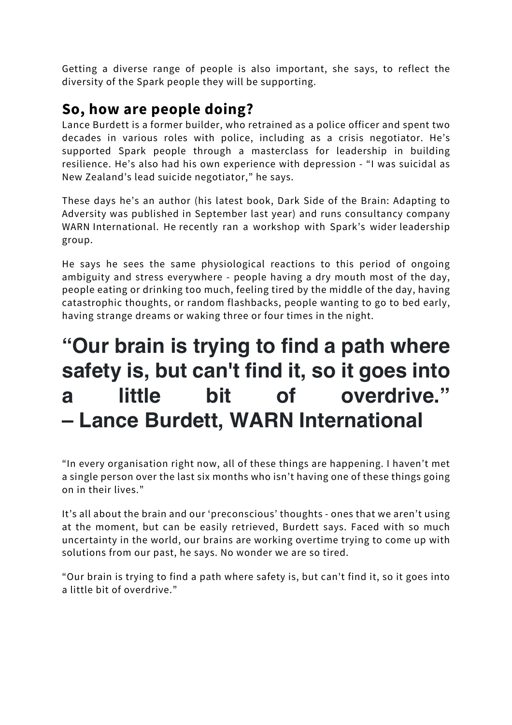Getting a diverse range of people is also important, she says, to reflect the diversity of the Spark people they will be supporting.

#### **So, how are people doing?**

Lance Burdett is a former builder, who retrained as a police officer and spent two decades in various roles with police, including as a crisis negotiator. He's supported Spark people through a masterclass for leadership in building resilience. He's also had his own experience with depression - "I was suicidal as New Zealand's lead suicide negotiator," he says.

These days he's an author (his latest book, Dark Side of the Brain: Adapting to Adversity was published in September last year) and runs consultancy company WARN International. He recently ran a workshop with Spark's wider leadership group.

He says he sees the same physiological reactions to this period of ongoing ambiguity and stress everywhere - people having a dry mouth most of the day, people eating or drinking too much, feeling tired by the middle of the day, having catastrophic thoughts, or random flashbacks, people wanting to go to bed early, having strange dreams or waking three or four times in the night.

# **"Our brain is trying to find a path where safety is, but can't find it, so it goes into a little bit of overdrive." – Lance Burdett, WARN International**

"In every organisation right now, all of these things are happening. I haven't met a single person over the last six months who isn't having one of these things going on in their lives."

It's all about the brain and our 'preconscious' thoughts - ones that we aren't using at the moment, but can be easily retrieved, Burdett says. Faced with so much uncertainty in the world, our brains are working overtime trying to come up with solutions from our past, he says. No wonder we are so tired.

"Our brain is trying to find a path where safety is, but can't find it, so it goes into a little bit of overdrive."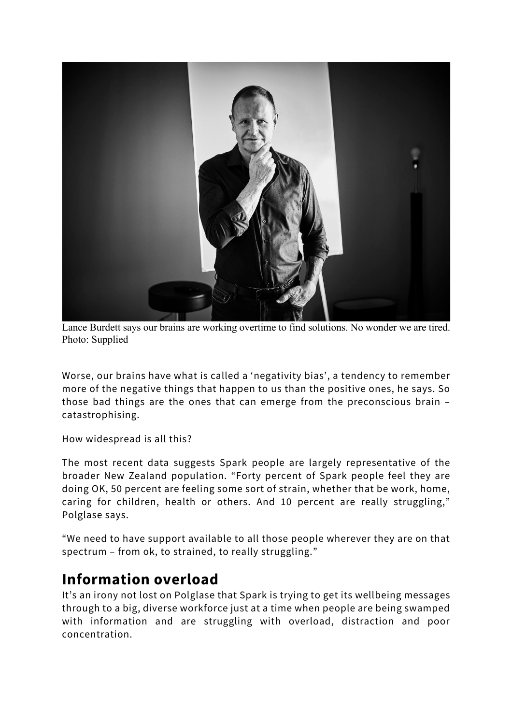

Lance Burdett says our brains are working overtime to find solutions. No wonder we are tired. Photo: Supplied

Worse, our brains have what is called a 'negativity bias', a tendency to remember more of the negative things that happen to us than the positive ones, he says. So those bad things are the ones that can emerge from the preconscious brain – catastrophising.

How widespread is all this?

The most recent data suggests Spark people are largely representative of the broader New Zealand population. "Forty percent of Spark people feel they are doing OK, 50 percent are feeling some sort of strain, whether that be work, home, caring for children, health or others. And 10 percent are really struggling," Polglase says.

"We need to have support available to all those people wherever they are on that spectrum – from ok, to strained, to really struggling."

#### **Information overload**

It's an irony not lost on Polglase that Spark is trying to get its wellbeing messages through to a big, diverse workforce just at a time when people are being swamped with information and are struggling with overload, distraction and poor concentration.